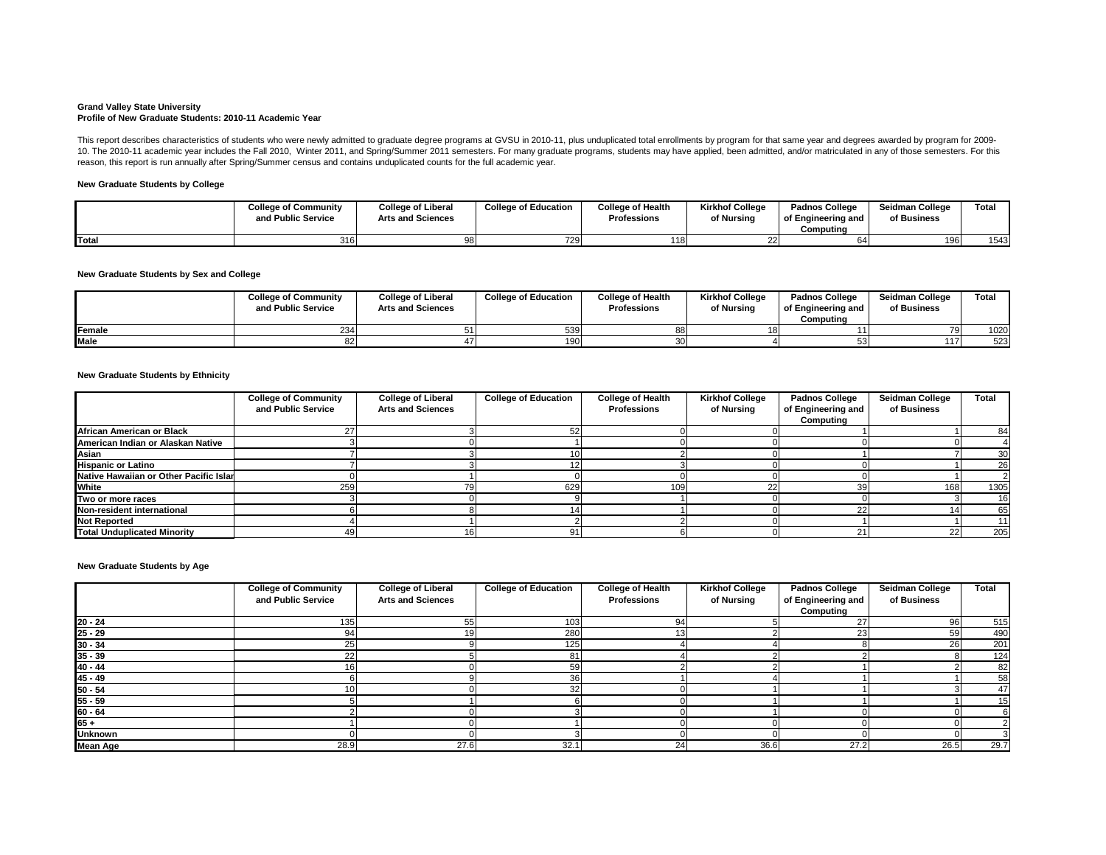#### **Grand Valley State University Profile of New Graduate Students: 2010-11 Academic Year**

## **New Graduate Students by College**

## **New Graduate Students by Sex and College**

### **New Graduate Students by Ethnicity**

|               | <b>College of Community</b><br>and Public Service | <b>College of Liberal</b><br><b>Arts and Sciences</b> | <b>College of Education</b> | <b>College of Health</b><br><b>Professions</b> | <b>Kirkhof College</b><br>of Nursing | <b>Padnos College</b><br>of Engineering and<br>Computing | <b>Seidman College</b><br>of Business | <b>Total</b> |
|---------------|---------------------------------------------------|-------------------------------------------------------|-----------------------------|------------------------------------------------|--------------------------------------|----------------------------------------------------------|---------------------------------------|--------------|
| <b>Female</b> |                                                   |                                                       | 539                         |                                                |                                      |                                                          | <b>701</b>                            | 1020         |
| <b>Male</b>   |                                                   |                                                       | 190                         |                                                |                                      |                                                          | 117                                   | 523          |

This report describes characteristics of students who were newly admitted to graduate degree programs at GVSU in 2010-11, plus unduplicated total enrollments by program for that same year and degrees awarded by program for 10. The 2010-11 academic year includes the Fall 2010, Winter 2011, and Spring/Summer 2011 semesters. For many graduate programs, students may have applied, been admitted, and/or matriculated in any of those semesters. For reason, this report is run annually after Spring/Summer census and contains unduplicated counts for the full academic year.

|              | <b>College of Community</b><br>and Public Service | <b>College of Liberal</b><br><b>Arts and Sciences</b> | <b>College of Education</b> | <b>College of Health</b><br><b>Professions</b> | <b>Kirkhof College</b><br>of Nursing | <b>Padnos College</b><br>of Engineering and<br>Computing | <b>Seidman College</b><br>of Business | Total |
|--------------|---------------------------------------------------|-------------------------------------------------------|-----------------------------|------------------------------------------------|--------------------------------------|----------------------------------------------------------|---------------------------------------|-------|
| <b>Total</b> | 316                                               |                                                       | 729                         | <b>118</b>                                     |                                      |                                                          | 196                                   | 1543  |

**New Graduate Students by Age**

|                                        | <b>College of Community</b><br>and Public Service | <b>College of Liberal</b><br><b>Arts and Sciences</b> | <b>College of Education</b> | <b>College of Health</b><br><b>Professions</b> | <b>Kirkhof College</b><br>of Nursing | <b>Padnos College</b><br>of Engineering and<br>Computing | <b>Seidman College</b><br>of Business | <b>Total</b> |
|----------------------------------------|---------------------------------------------------|-------------------------------------------------------|-----------------------------|------------------------------------------------|--------------------------------------|----------------------------------------------------------|---------------------------------------|--------------|
| <b>African American or Black</b>       |                                                   |                                                       |                             |                                                |                                      |                                                          |                                       | 84           |
| American Indian or Alaskan Native      |                                                   |                                                       |                             |                                                |                                      |                                                          |                                       |              |
| <b>Asian</b>                           |                                                   |                                                       |                             |                                                |                                      |                                                          |                                       | 30           |
| <b>Hispanic or Latino</b>              |                                                   |                                                       |                             |                                                |                                      |                                                          |                                       | 26           |
| Native Hawaiian or Other Pacific Islar |                                                   |                                                       |                             |                                                |                                      |                                                          |                                       |              |
| <b>White</b>                           | 259                                               |                                                       | 629                         | 109                                            |                                      |                                                          | 168                                   | 1305         |
| Two or more races                      |                                                   |                                                       |                             |                                                |                                      |                                                          |                                       | 16           |
| Non-resident international             |                                                   |                                                       |                             |                                                |                                      |                                                          |                                       | 65           |
| <b>Not Reported</b>                    |                                                   |                                                       |                             |                                                |                                      |                                                          |                                       | 11           |
| <b>Total Unduplicated Minority</b>     |                                                   |                                                       | 91                          |                                                |                                      |                                                          | 22                                    | 205          |

|                           | <b>College of Community</b> | <b>College of Liberal</b> | <b>College of Education</b> | <b>College of Health</b> | <b>Kirkhof College</b> | <b>Padnos College</b> | <b>Seidman College</b> | <b>Total</b> |
|---------------------------|-----------------------------|---------------------------|-----------------------------|--------------------------|------------------------|-----------------------|------------------------|--------------|
|                           | and Public Service          | <b>Arts and Sciences</b>  |                             | <b>Professions</b>       | of Nursing             | of Engineering and    | of Business            |              |
|                           |                             |                           |                             |                          |                        | <b>Computing</b>      |                        |              |
| $20 - 24$                 | 135                         | 55                        | 103                         | 94                       |                        |                       | 96l                    | 515          |
| $25 - 29$                 | 94                          | 19                        | 280                         |                          |                        |                       | 59                     | 490          |
| $30 - 34$                 | 25                          |                           | 125                         |                          |                        |                       | 26                     | 201          |
|                           |                             |                           | 81                          |                          |                        |                       |                        | 124          |
| $\frac{35 - 39}{40 - 44}$ |                             |                           | 59                          |                          |                        |                       |                        | 82           |
| $\frac{45 - 49}{50 - 54}$ |                             |                           | 36                          |                          |                        |                       |                        | 58           |
|                           |                             |                           | 32                          |                          |                        |                       |                        | 47           |
| $55 - 59$                 |                             |                           |                             |                          |                        |                       |                        | 15           |
| $60 - 64$                 |                             |                           |                             |                          |                        |                       |                        |              |
| $65 +$                    |                             |                           |                             |                          |                        |                       |                        |              |
| <b>Unknown</b>            |                             |                           |                             |                          |                        |                       |                        |              |
| <b>Mean Age</b>           | 28.9                        | 27.6                      | 32.1                        | 24                       | 36.6                   | 27.2                  | 26.5                   | 29.7         |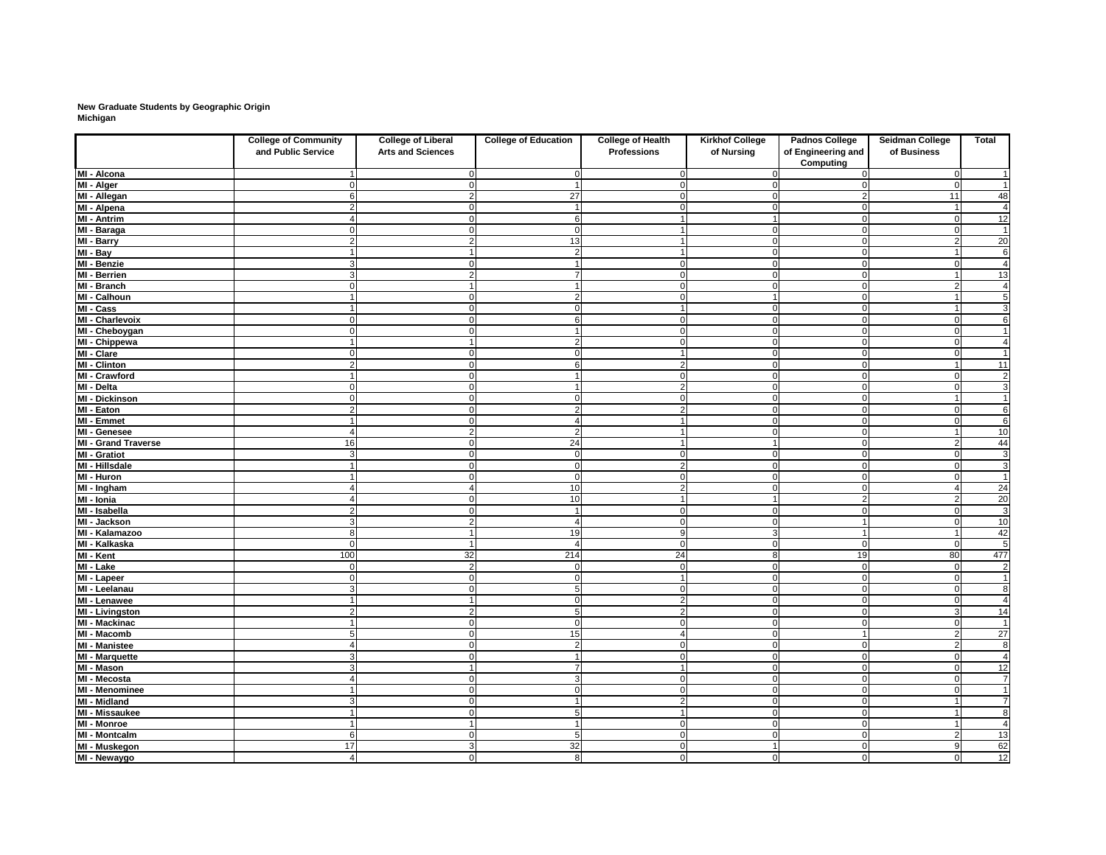# **New Graduate Students by Geographic Origin Michigan**

|                            | <b>College of Community</b><br>and Public Service | <b>College of Liberal</b><br><b>Arts and Sciences</b> | <b>College of Education</b> | <b>College of Health</b><br><b>Professions</b> | <b>Kirkhof College</b><br>of Nursing | <b>Padnos College</b><br>of Engineering and<br><b>Computing</b> | <b>Seidman College</b><br>of Business | <b>Total</b>    |
|----------------------------|---------------------------------------------------|-------------------------------------------------------|-----------------------------|------------------------------------------------|--------------------------------------|-----------------------------------------------------------------|---------------------------------------|-----------------|
| MI - Alcona                |                                                   |                                                       |                             |                                                |                                      |                                                                 | $\Omega$                              | -1              |
| MI - Alger                 |                                                   |                                                       |                             |                                                |                                      |                                                                 | - 0                                   | $\overline{1}$  |
| MI - Allegan               |                                                   |                                                       | 27                          |                                                |                                      |                                                                 | 11                                    | 48              |
| MI - Alpena                |                                                   |                                                       | $\overline{\mathbf{1}}$     |                                                | 0                                    |                                                                 |                                       | $\overline{4}$  |
| MI - Antrim                |                                                   |                                                       | 6                           |                                                |                                      |                                                                 | $\Omega$                              | 12              |
| MI - Baraga                |                                                   |                                                       | $\Omega$                    |                                                | $\Omega$                             |                                                                 | n                                     | $\mathbf 1$     |
| MI - Barry                 |                                                   |                                                       | 13                          |                                                | $\Omega$                             |                                                                 |                                       | 20              |
| $\overline{M}$ l - Bay     |                                                   |                                                       | $\overline{2}$              |                                                | $\mathbf 0$                          |                                                                 |                                       | 6               |
| MI - Benzie                |                                                   |                                                       |                             |                                                | $\mathbf 0$                          |                                                                 |                                       | 4               |
| MI - Berrien               |                                                   |                                                       |                             |                                                | $\overline{0}$                       |                                                                 |                                       | 13              |
| MI - Branch                |                                                   |                                                       |                             |                                                | $\Omega$                             |                                                                 |                                       | 4               |
| MI - Calhoun               |                                                   |                                                       | $\overline{2}$              |                                                |                                      |                                                                 |                                       | $\overline{5}$  |
| MI - Cass                  |                                                   |                                                       | $\Omega$                    |                                                | $\overline{0}$                       |                                                                 |                                       | $\overline{3}$  |
| <b>MI - Charlevoix</b>     |                                                   |                                                       | 6                           |                                                | $\overline{0}$                       |                                                                 |                                       | $6\phantom{a}$  |
| MI - Cheboygan             |                                                   |                                                       |                             |                                                | $\mathbf 0$                          |                                                                 |                                       | -1              |
| MI - Chippewa              |                                                   |                                                       | 2                           |                                                | $\mathbf 0$                          |                                                                 |                                       | 4               |
| MI - Clare                 |                                                   |                                                       | O                           |                                                | $\mathbf 0$                          |                                                                 |                                       | $\mathbf 1$     |
| $\overline{MI}$ - Clinton  |                                                   |                                                       | 6                           |                                                | $\mathbf 0$                          |                                                                 |                                       | 11              |
| MI - Crawford              |                                                   |                                                       | $\overline{1}$              |                                                | $\overline{0}$                       |                                                                 | $\Omega$                              | $\overline{2}$  |
| MI - Delta                 | ∩                                                 |                                                       | $\overline{\mathbf{1}}$     | 2                                              | $\overline{0}$                       | $\Omega$                                                        | $\Omega$                              | $\overline{3}$  |
| <b>MI - Dickinson</b>      |                                                   |                                                       | $\Omega$                    | $\Omega$                                       | $\overline{0}$                       | $\Omega$                                                        |                                       | $\mathbf{1}$    |
| MI - Eaton                 | $\overline{2}$                                    |                                                       | $\mathbf{2}$                | ≏                                              | $\overline{0}$                       | 0                                                               | $\Omega$                              | $\overline{6}$  |
| MI - Emmet                 |                                                   |                                                       | 4                           |                                                | $\overline{0}$                       | 0                                                               | -0                                    | $\overline{6}$  |
| MI - Genesee               |                                                   |                                                       | $\overline{2}$              |                                                | $\overline{0}$                       | $\Omega$                                                        |                                       | 10              |
| <b>MI - Grand Traverse</b> | 16                                                |                                                       | 24                          |                                                |                                      | ∩                                                               | -2                                    | 44              |
| $\overline{M}$ - Gratiot   | $\overline{3}$                                    |                                                       | $\overline{0}$              | $\cap$                                         | $\overline{0}$                       |                                                                 | $\Omega$                              |                 |
| MI - Hillsdale             |                                                   |                                                       | $\overline{0}$              | 2                                              | $\overline{0}$                       | $\Omega$                                                        | $\Omega$                              | $\frac{3}{3}$   |
| MI - Huron                 |                                                   |                                                       | $\mathbf 0$                 | $\Omega$                                       | $\overline{0}$                       | $\Omega$                                                        | $\Omega$                              | $\mathbf{1}$    |
| $\overline{M}$ - Ingham    |                                                   |                                                       | 10                          | 2                                              | $\overline{0}$                       | $\Omega$                                                        |                                       | $\overline{24}$ |
| MI - Ionia                 |                                                   |                                                       | 10                          |                                                |                                      | $\mathcal{P}$                                                   | -2                                    | 20              |
| MI - Isabella              |                                                   |                                                       |                             |                                                | $\overline{0}$                       |                                                                 |                                       | $\overline{3}$  |
| MI - Jackson               |                                                   |                                                       |                             |                                                | $\Omega$                             |                                                                 |                                       | 10              |
| MI - Kalamazoo             | 8                                                 |                                                       | 19                          | -9                                             | 3                                    |                                                                 |                                       | 42              |
| MI - Kalkaska              | $\Omega$                                          |                                                       | $\overline{4}$              | $\overline{0}$                                 | $\overline{0}$                       | 0                                                               | $\overline{0}$                        | $\overline{5}$  |
| MI - Kent                  | 100                                               | 32                                                    | 214                         | 24                                             | 8                                    | 19                                                              | 80                                    | 477             |
| MI - Lake                  | $\Omega$                                          | n                                                     | $\overline{0}$              | $\overline{0}$                                 | $\overline{0}$                       | $\mathbf{0}$                                                    | $\Omega$                              | $\overline{2}$  |
| MI - Lapeer                | 0                                                 | ∩                                                     | $\mathbf 0$                 |                                                | $\overline{0}$                       | $\Omega$                                                        | $\Omega$                              | $\mathbf{1}$    |
| MI - Leelanau              | $\overline{3}$                                    |                                                       | $\overline{5}$              | $\Omega$                                       | $\overline{0}$                       | $\Omega$                                                        | $\Omega$                              | $\overline{8}$  |
| MI - Lenawee               |                                                   |                                                       | $\mathbf 0$                 | $\overline{2}$                                 | $\overline{0}$                       |                                                                 | -0                                    | 4               |
| MI - Livingston            | 2 <sub>l</sub>                                    |                                                       | 5                           | $\overline{2}$                                 | $\overline{0}$                       | O                                                               | 3                                     | 14              |
| MI - Mackinac              |                                                   |                                                       | $\mathbf 0$                 | $\Omega$                                       | $\overline{0}$                       | C                                                               | $\Omega$                              | $\overline{1}$  |
| MI - Macomb                | 5                                                 |                                                       | 15                          |                                                | $\overline{0}$                       |                                                                 | $\overline{2}$                        | 27              |
| <b>MI</b> - Manistee       | 4                                                 |                                                       | $\overline{2}$              | $\Omega$                                       | $\overline{0}$                       | 0                                                               | $\overline{2}$                        | $\overline{8}$  |
| MI - Marquette             | $\overline{3}$                                    |                                                       | $\overline{1}$              | $\Omega$                                       | $\overline{0}$                       | $\Omega$                                                        | $\Omega$                              | $\overline{4}$  |
| MI - Mason                 | $\overline{3}$                                    |                                                       | $\overline{7}$              |                                                | $\overline{0}$                       | 0                                                               | $\Omega$                              | 12              |
| MI - Mecosta               |                                                   |                                                       | $\overline{3}$              | $\Omega$                                       | $\overline{0}$                       | 0                                                               | $\Omega$                              | $\overline{7}$  |
| <b>MI - Menominee</b>      |                                                   |                                                       | $\mathbf 0$                 | $\Omega$                                       | $\overline{0}$                       | $\Omega$                                                        | $\Omega$                              |                 |
| <b>MI - Midland</b>        | $\overline{3}$                                    |                                                       | $\overline{\mathbf{1}}$     | $\overline{2}$                                 | $\overline{0}$                       | $\Omega$                                                        |                                       | $\overline{7}$  |
| <b>MI - Missaukee</b>      |                                                   |                                                       | 5                           |                                                | $\overline{0}$                       | C                                                               |                                       | 8               |
| MI - Monroe                |                                                   |                                                       | $\overline{1}$              | $\Omega$                                       | $\overline{0}$                       | 0                                                               |                                       | 4               |
| <b>MI - Montcalm</b>       | 6                                                 |                                                       | 5                           | $\Omega$                                       | $\overline{0}$                       | $\Omega$                                                        | -2                                    | 13              |
| MI - Muskegon              | 17                                                | 3                                                     | 32                          | $\Omega$                                       |                                      | $\overline{0}$                                                  | 9                                     | 62              |
| MI - Newaygo               | $\overline{\mathbf{4}}$                           | $\overline{0}$                                        | 8 <sup>1</sup>              | $\overline{0}$                                 | 0                                    | 0                                                               | $\mathbf 0$                           | $\overline{12}$ |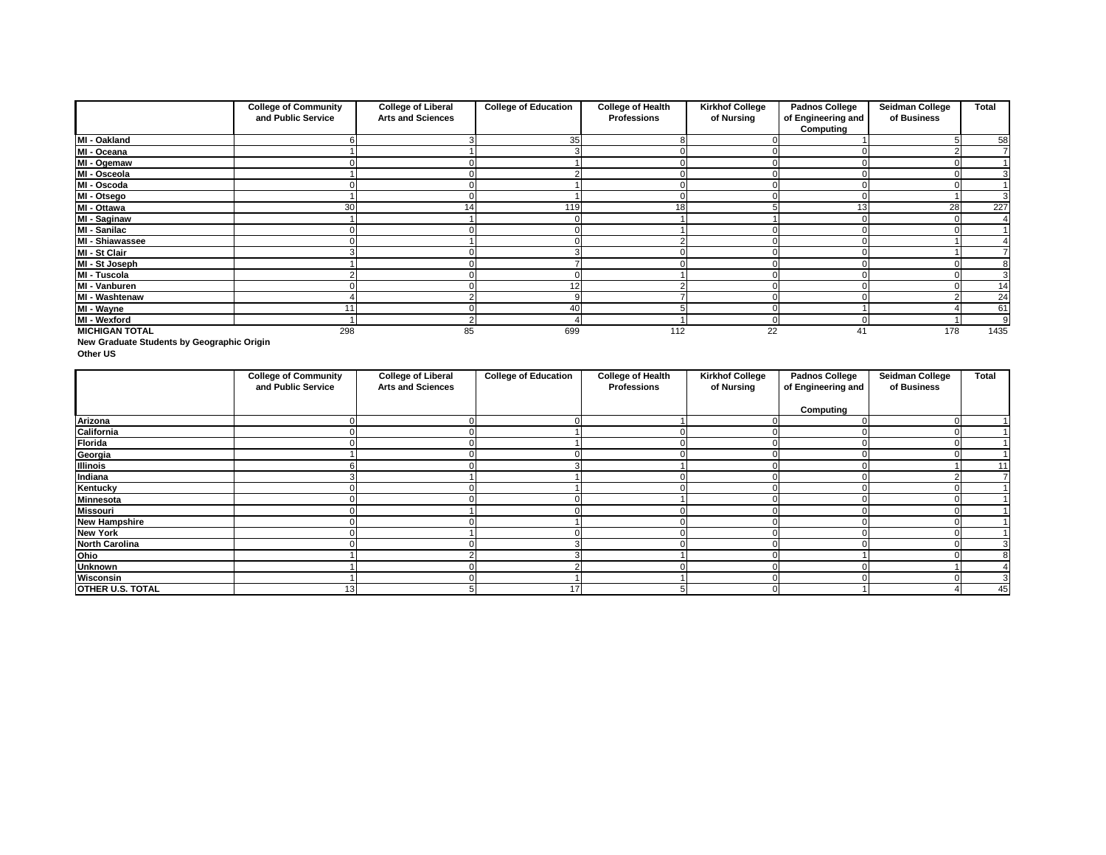|                         | <b>College of Community</b><br>and Public Service | <b>College of Liberal</b><br><b>Arts and Sciences</b> | <b>College of Education</b> | <b>College of Health</b><br><b>Professions</b> | <b>Kirkhof College</b><br>of Nursing | <b>Padnos College</b><br>of Engineering and<br><b>Computing</b> | <b>Seidman College</b><br>of Business | <b>Total</b> |
|-------------------------|---------------------------------------------------|-------------------------------------------------------|-----------------------------|------------------------------------------------|--------------------------------------|-----------------------------------------------------------------|---------------------------------------|--------------|
| MI - Oakland            |                                                   |                                                       | 35                          |                                                |                                      |                                                                 |                                       | 58           |
| $\overline{M}$ - Oceana |                                                   |                                                       |                             |                                                |                                      |                                                                 |                                       |              |
| MI - Ogemaw             |                                                   |                                                       |                             |                                                |                                      |                                                                 |                                       |              |
| MI - Osceola            |                                                   |                                                       |                             |                                                |                                      |                                                                 |                                       |              |
| MI - Oscoda             |                                                   |                                                       |                             |                                                |                                      |                                                                 |                                       |              |
| MI - Otsego             |                                                   |                                                       |                             |                                                |                                      |                                                                 |                                       | 3            |
| MI - Ottawa             | 30                                                | 14                                                    | 119                         | 18                                             |                                      | 13                                                              | 28                                    | 227          |
| <b>MI - Saginaw</b>     |                                                   |                                                       |                             |                                                |                                      |                                                                 |                                       |              |
| <b>MI - Sanilac</b>     |                                                   |                                                       |                             |                                                |                                      |                                                                 |                                       |              |
| MI - Shiawassee         |                                                   |                                                       |                             |                                                |                                      |                                                                 |                                       |              |
| MI - St Clair           |                                                   |                                                       |                             |                                                |                                      |                                                                 |                                       |              |
| MI - St Joseph          |                                                   |                                                       |                             |                                                |                                      |                                                                 |                                       | 8            |
| <b>MI - Tuscola</b>     |                                                   |                                                       |                             |                                                |                                      |                                                                 |                                       | 3            |
| MI - Vanburen           |                                                   |                                                       | 12                          |                                                |                                      |                                                                 |                                       | 14           |
| <b>MI - Washtenaw</b>   |                                                   |                                                       |                             |                                                |                                      |                                                                 |                                       | 24           |
| MI - Wayne              |                                                   |                                                       | 40                          |                                                |                                      |                                                                 |                                       | 61           |
| <b>MI - Wexford</b>     |                                                   |                                                       |                             |                                                | 0                                    |                                                                 |                                       |              |
| <b>MICHIGAN TOTAL</b>   | 298                                               | 85                                                    | 699                         | 112                                            | 22                                   |                                                                 | 178                                   | 1435         |

**New Graduate Students by Geographic Origin**

**Other US**

|                         | <b>College of Community</b><br>and Public Service | <b>College of Liberal</b><br><b>Arts and Sciences</b> | <b>College of Education</b> | <b>College of Health</b><br><b>Professions</b> | <b>Kirkhof College</b><br>of Nursing | <b>Padnos College</b><br>of Engineering and | <b>Seidman College</b><br>of Business | <b>Total</b> |
|-------------------------|---------------------------------------------------|-------------------------------------------------------|-----------------------------|------------------------------------------------|--------------------------------------|---------------------------------------------|---------------------------------------|--------------|
|                         |                                                   |                                                       |                             |                                                |                                      | <b>Computing</b>                            |                                       |              |
| <b>Arizona</b>          |                                                   |                                                       |                             |                                                |                                      |                                             |                                       |              |
| California              |                                                   |                                                       |                             |                                                |                                      |                                             |                                       |              |
| <b>Florida</b>          |                                                   |                                                       |                             |                                                |                                      |                                             |                                       |              |
| Georgia                 |                                                   |                                                       |                             |                                                |                                      |                                             |                                       |              |
| <b>Illinois</b>         |                                                   |                                                       |                             |                                                |                                      |                                             |                                       | 11           |
| Indiana                 |                                                   |                                                       |                             |                                                |                                      |                                             |                                       |              |
| <b>Kentucky</b>         |                                                   |                                                       |                             |                                                |                                      |                                             |                                       |              |
| <b>Minnesota</b>        |                                                   |                                                       |                             |                                                |                                      |                                             |                                       |              |
| <b>Missouri</b>         |                                                   |                                                       |                             |                                                |                                      |                                             |                                       |              |
| <b>New Hampshire</b>    |                                                   |                                                       |                             |                                                |                                      |                                             |                                       |              |
| <b>New York</b>         |                                                   |                                                       |                             |                                                |                                      |                                             |                                       |              |
| <b>North Carolina</b>   |                                                   |                                                       |                             |                                                |                                      |                                             |                                       |              |
| Ohio                    |                                                   |                                                       |                             |                                                |                                      |                                             |                                       |              |
| <b>Unknown</b>          |                                                   |                                                       |                             |                                                |                                      |                                             |                                       |              |
| Wisconsin               |                                                   |                                                       |                             |                                                |                                      |                                             |                                       |              |
| <b>OTHER U.S. TOTAL</b> | 13                                                |                                                       | 17                          |                                                |                                      |                                             |                                       | 45           |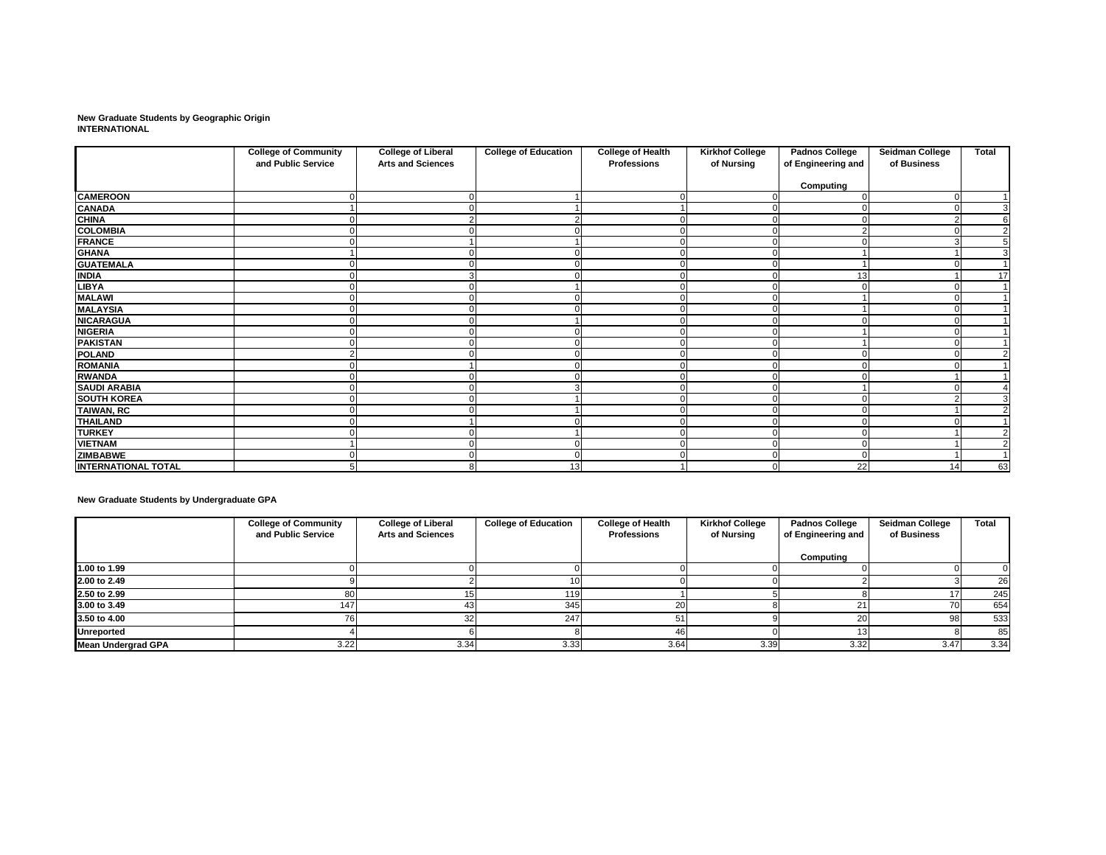**New Graduate Students by Geographic Origin INTERNATIONAL**

|                            | <b>College of Community</b><br>and Public Service | <b>College of Liberal</b><br><b>Arts and Sciences</b> | <b>College of Education</b> | <b>College of Health</b><br><b>Professions</b> | <b>Kirkhof College</b><br>of Nursing | <b>Padnos College</b><br>of Engineering and | <b>Seidman College</b><br>of Business | <b>Total</b>   |
|----------------------------|---------------------------------------------------|-------------------------------------------------------|-----------------------------|------------------------------------------------|--------------------------------------|---------------------------------------------|---------------------------------------|----------------|
|                            |                                                   |                                                       |                             |                                                |                                      | <b>Computing</b>                            |                                       |                |
| <b>CAMEROON</b>            |                                                   |                                                       |                             |                                                |                                      |                                             |                                       |                |
| <b>CANADA</b>              |                                                   |                                                       |                             |                                                |                                      |                                             |                                       | 3              |
| <b>CHINA</b>               |                                                   |                                                       | 2                           |                                                | $\Omega$                             |                                             |                                       | $\overline{6}$ |
| <b>COLOMBIA</b>            |                                                   |                                                       |                             |                                                |                                      |                                             |                                       | $\overline{2}$ |
| FRANCE                     |                                                   |                                                       |                             |                                                | $\Omega$                             |                                             |                                       | 5              |
| <b>GHANA</b>               |                                                   |                                                       |                             |                                                | $\Omega$                             |                                             |                                       | $\overline{3}$ |
| <b>GUATEMALA</b>           |                                                   |                                                       |                             |                                                | 0                                    |                                             |                                       |                |
| <b>INDIA</b>               |                                                   |                                                       |                             |                                                | $\Omega$                             | 13                                          |                                       | 17             |
| <b>LIBYA</b>               |                                                   |                                                       |                             |                                                |                                      |                                             |                                       |                |
| <b>MALAWI</b>              |                                                   |                                                       |                             |                                                | $\Omega$                             |                                             |                                       |                |
| <b>MALAYSIA</b>            |                                                   |                                                       |                             |                                                | $\Omega$                             |                                             |                                       |                |
| <b>NICARAGUA</b>           |                                                   |                                                       |                             |                                                | 0                                    |                                             |                                       |                |
| <b>NIGERIA</b>             |                                                   |                                                       |                             |                                                | $\Omega$                             |                                             |                                       |                |
| <b>PAKISTAN</b>            |                                                   |                                                       |                             |                                                | $\Omega$                             |                                             |                                       |                |
| <b>POLAND</b>              |                                                   |                                                       |                             |                                                | 0                                    |                                             |                                       | $\overline{2}$ |
| <b>ROMANIA</b>             |                                                   |                                                       | 0                           |                                                | $\mathbf 0$                          |                                             |                                       |                |
| <b>RWANDA</b>              |                                                   |                                                       | $\Omega$                    |                                                | $\overline{0}$                       |                                             |                                       |                |
| <b>SAUDI ARABIA</b>        |                                                   |                                                       | 3                           |                                                | $\Omega$                             |                                             |                                       |                |
| <b>SOUTH KOREA</b>         |                                                   |                                                       |                             |                                                | 0                                    |                                             |                                       | 3              |
| <b>TAIWAN, RC</b>          |                                                   |                                                       |                             |                                                | 0                                    |                                             |                                       | $\overline{2}$ |
| <b>THAILAND</b>            |                                                   |                                                       |                             |                                                | $\Omega$                             |                                             |                                       |                |
| <b>TURKEY</b>              |                                                   |                                                       |                             |                                                | 0                                    |                                             |                                       | $\overline{2}$ |
| <b>VIETNAM</b>             |                                                   |                                                       | $\Omega$                    |                                                | $\mathbf 0$                          |                                             |                                       | $\overline{2}$ |
| <b>ZIMBABWE</b>            |                                                   |                                                       | $\mathbf 0$                 |                                                | $\overline{0}$                       |                                             |                                       |                |
| <b>INTERNATIONAL TOTAL</b> | 5                                                 |                                                       | 13                          |                                                | $\overline{0}$                       | 22                                          | 14                                    | 63             |

**New Graduate Students by Undergraduate GPA**

|                           | <b>College of Community</b><br>and Public Service | <b>College of Liberal</b><br><b>Arts and Sciences</b> | <b>College of Education</b> | <b>College of Health</b><br><b>Professions</b> | <b>Kirkhof College</b><br>of Nursing | <b>Padnos College</b><br>of Engineering and | <b>Seidman College</b><br>of Business | <b>Total</b> |
|---------------------------|---------------------------------------------------|-------------------------------------------------------|-----------------------------|------------------------------------------------|--------------------------------------|---------------------------------------------|---------------------------------------|--------------|
|                           |                                                   |                                                       |                             |                                                |                                      | Computing                                   |                                       |              |
| 1.00 to 1.99              |                                                   |                                                       |                             |                                                |                                      |                                             |                                       |              |
| 2.00 to 2.49              |                                                   |                                                       |                             |                                                |                                      |                                             |                                       | 26           |
| 2.50 to 2.99              |                                                   |                                                       | 119.                        |                                                |                                      |                                             |                                       | 245          |
| 3.00 to 3.49              | 147                                               | 431                                                   | 345                         |                                                |                                      |                                             |                                       | 654          |
| 3.50 to 4.00              |                                                   | 321                                                   | 247                         | 51                                             |                                      |                                             | 98                                    | 533          |
| <b>Unreported</b>         |                                                   |                                                       |                             | 46                                             |                                      |                                             |                                       | 85           |
| <b>Mean Undergrad GPA</b> | 3.22                                              | 3.34                                                  | 3.33                        | 3.64                                           | 3.39                                 | 3.32                                        | 3.47                                  | 3.34         |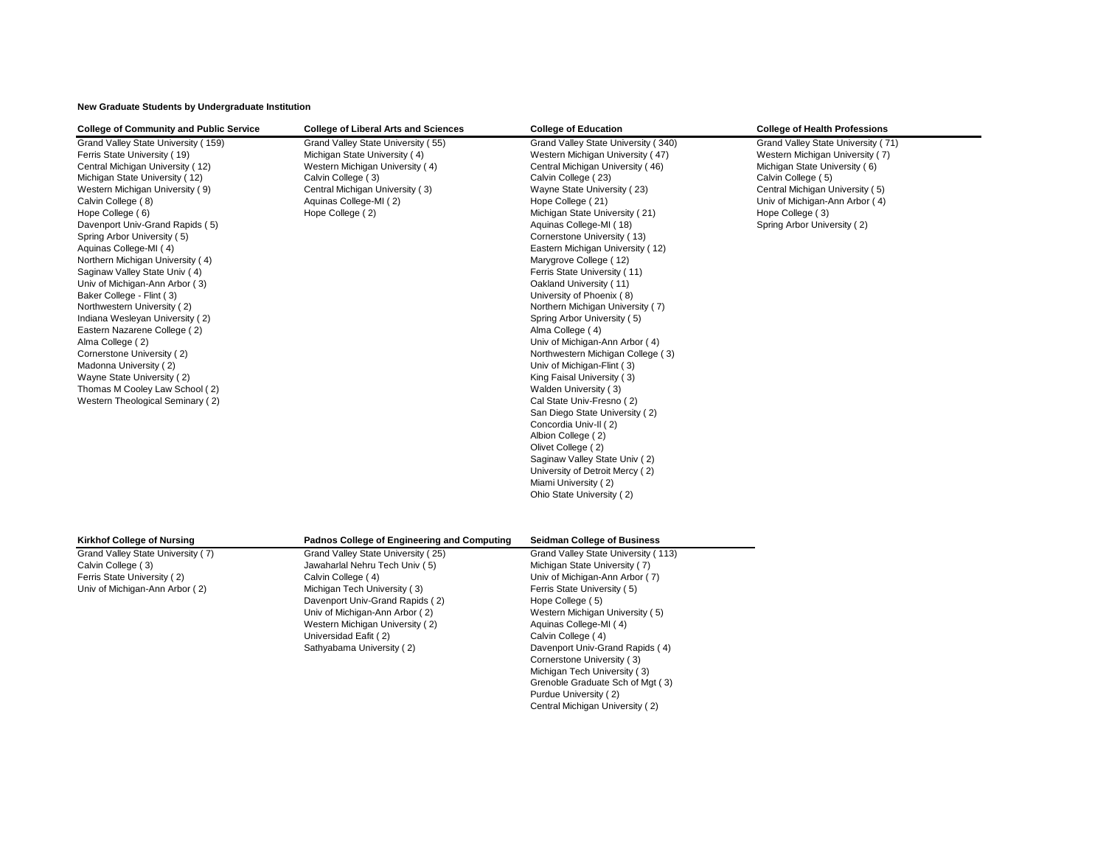**New Graduate Students by Undergraduate Institution**

| <b>College of Community and Public Service</b>                                                                                                                                                                                                                                                                                                                                                                                                                                                                                                                                                                                                                                                                                           | <b>College of Liberal Arts and Sciences</b>                                                                                                                                                                                                                                              | <b>College of Education</b>                                                                                                                                                                                                                                                                                                                                                                                                                                                                                                                                                                                                                                                                                                                                                                                                                                                                                                                              | <b>College of Health Professions</b>                                                                                                                                                                                                                 |
|------------------------------------------------------------------------------------------------------------------------------------------------------------------------------------------------------------------------------------------------------------------------------------------------------------------------------------------------------------------------------------------------------------------------------------------------------------------------------------------------------------------------------------------------------------------------------------------------------------------------------------------------------------------------------------------------------------------------------------------|------------------------------------------------------------------------------------------------------------------------------------------------------------------------------------------------------------------------------------------------------------------------------------------|----------------------------------------------------------------------------------------------------------------------------------------------------------------------------------------------------------------------------------------------------------------------------------------------------------------------------------------------------------------------------------------------------------------------------------------------------------------------------------------------------------------------------------------------------------------------------------------------------------------------------------------------------------------------------------------------------------------------------------------------------------------------------------------------------------------------------------------------------------------------------------------------------------------------------------------------------------|------------------------------------------------------------------------------------------------------------------------------------------------------------------------------------------------------------------------------------------------------|
| Grand Valley State University (159)<br>Ferris State University (19)<br>Central Michigan University (12)<br>Michigan State University (12)<br>Western Michigan University (9)<br>Calvin College (8)<br>Hope College (6)<br>Davenport Univ-Grand Rapids (5)<br>Spring Arbor University (5)<br>Aquinas College-MI (4)<br>Northern Michigan University (4)<br>Saginaw Valley State Univ (4)<br>Univ of Michigan-Ann Arbor (3)<br>Baker College - Flint (3)<br>Northwestern University (2)<br>Indiana Wesleyan University (2)<br>Eastern Nazarene College (2)<br>Alma College (2)<br>Cornerstone University (2)<br>Madonna University (2)<br>Wayne State University (2)<br>Thomas M Cooley Law School (2)<br>Western Theological Seminary (2) | Grand Valley State University (55)<br>Michigan State University (4)<br>Western Michigan University (4)<br>Calvin College (3)<br>Central Michigan University (3)<br>Aquinas College-MI (2)<br>Hope College (2)                                                                            | Grand Valley State University (340)<br>Western Michigan University (47)<br>Central Michigan University (46)<br>Calvin College (23)<br>Wayne State University (23)<br>Hope College (21)<br>Michigan State University (21)<br>Aquinas College-MI (18)<br>Cornerstone University (13)<br>Eastern Michigan University (12)<br>Marygrove College (12)<br>Ferris State University (11)<br>Oakland University (11)<br>University of Phoenix (8)<br>Northern Michigan University (7)<br>Spring Arbor University (5)<br>Alma College (4)<br>Univ of Michigan-Ann Arbor (4)<br>Northwestern Michigan College (3)<br>Univ of Michigan-Flint (3)<br>King Faisal University (3)<br>Walden University (3)<br>Cal State Univ-Fresno (2)<br>San Diego State University (2)<br>Concordia Univ-II (2)<br>Albion College (2)<br>Olivet College (2)<br>Saginaw Valley State Univ (2)<br>University of Detroit Mercy (2)<br>Miami University (2)<br>Ohio State University (2) | Grand Valley State University (71)<br>Western Michigan University (7)<br>Michigan State University (6)<br>Calvin College (5)<br>Central Michigan University (5)<br>Univ of Michigan-Ann Arbor (4)<br>Hope College (3)<br>Spring Arbor University (2) |
| <b>Kirkhof College of Nursing</b>                                                                                                                                                                                                                                                                                                                                                                                                                                                                                                                                                                                                                                                                                                        | <b>Padnos College of Engineering and Computing</b>                                                                                                                                                                                                                                       | <b>Seidman College of Business</b>                                                                                                                                                                                                                                                                                                                                                                                                                                                                                                                                                                                                                                                                                                                                                                                                                                                                                                                       |                                                                                                                                                                                                                                                      |
| Grand Valley State University (7)<br>Calvin College (3)<br>Ferris State University (2)<br>Univ of Michigan-Ann Arbor (2)                                                                                                                                                                                                                                                                                                                                                                                                                                                                                                                                                                                                                 | Grand Valley State University (25)<br>Jawaharlal Nehru Tech Univ (5)<br>Calvin College (4)<br>Michigan Tech University (3)<br>Davenport Univ-Grand Rapids (2)<br>Univ of Michigan-Ann Arbor (2)<br>Western Michigan University (2)<br>Universidad Eafit (2)<br>Sathyabama University (2) | Grand Valley State University (113)<br>Michigan State University (7)<br>Univ of Michigan-Ann Arbor (7)<br>Ferris State University (5)<br>Hope College (5)<br>Western Michigan University (5)<br>Aquinas College-MI (4)<br>Calvin College (4)<br>Davenport Univ-Grand Rapids (4)<br>Cornerstone University (3)<br>Michigan Tech University (3)<br>Grenoble Graduate Sch of Mgt (3)<br>Purdue University (2)                                                                                                                                                                                                                                                                                                                                                                                                                                                                                                                                               |                                                                                                                                                                                                                                                      |

Central Michigan University ( 2)